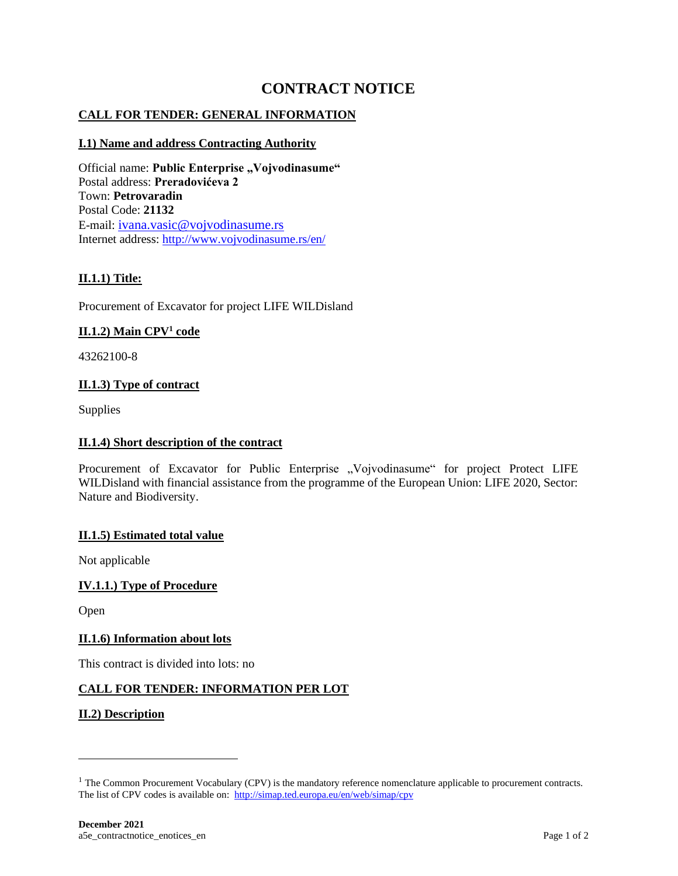# **CONTRACT NOTICE**

# **CALL FOR TENDER: GENERAL INFORMATION**

# **I.1) Name and address Contracting Authority**

Official name: Public Enterprise "Vojvodinasume" Postal address: **Preradovićeva 2** Town: **Petrovaradin** Postal Code: **21132** E-mail: [ivana.vasic@vojvodinasume.rs](mailto:ivana.vasic@vojvodinasume.rs) Internet address:<http://www.vojvodinasume.rs/en/>

# **II.1.1) Title:**

Procurement of Excavator for project LIFE WILDisland

#### **II.1.2) Main CPV<sup>1</sup> code**

43262100-8

#### **II.1.3) Type of contract**

Supplies

#### **II.1.4) Short description of the contract**

Procurement of Excavator for Public Enterprise "Vojvodinasume" for project Protect LIFE WILDisland with financial assistance from the programme of the European Union: LIFE 2020, Sector: Nature and Biodiversity.

#### **II.1.5) Estimated total value**

Not applicable

#### **IV.1.1.) Type of Procedure**

Open

#### **II.1.6) Information about lots**

This contract is divided into lots: no

# **CALL FOR TENDER: INFORMATION PER LOT**

#### **II.2) Description**

<sup>&</sup>lt;sup>1</sup> The Common Procurement Vocabulary (CPV) is the mandatory reference nomenclature applicable to procurement contracts. The list of CPV codes is available on:<http://simap.ted.europa.eu/en/web/simap/cpv>